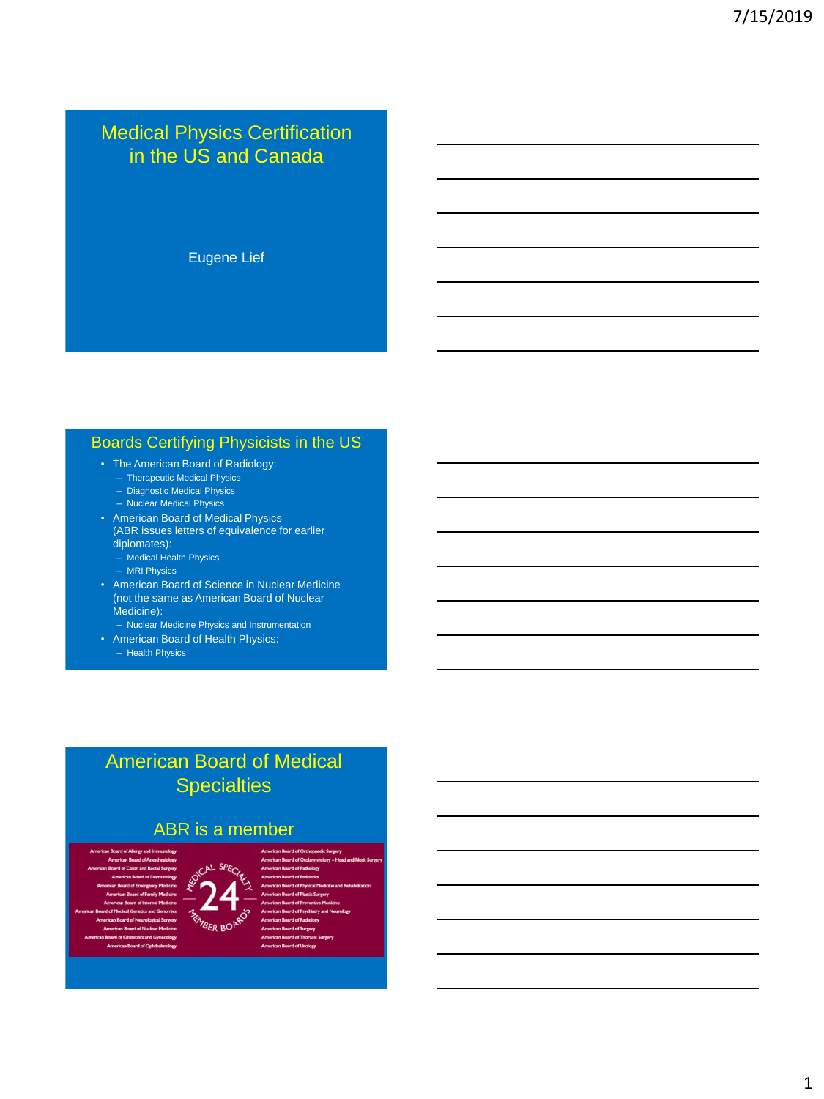### Medical Physics Certification in the US and Canada

Eugene Lief

### Boards Certifying Physicists in the US

- The American Board of Radiology:
	- Therapeutic Medical Physics
	- Diagnostic Medical Physics
	- Nuclear Medical Physics
- American Board of Medical Physics (ABR issues letters of equivalence for earlier
- diplomates):
	- Medical Health Physics
	- MRI Physics
- American Board of Science in Nuclear Medicine (not the same as American Board of Nuclear Medicine):
	- Nuclear Medicine Physics and Instrumentation
- American Board of Health Physics: – Health Physics

## American Board of Medical **Specialties**

### ABR is a member



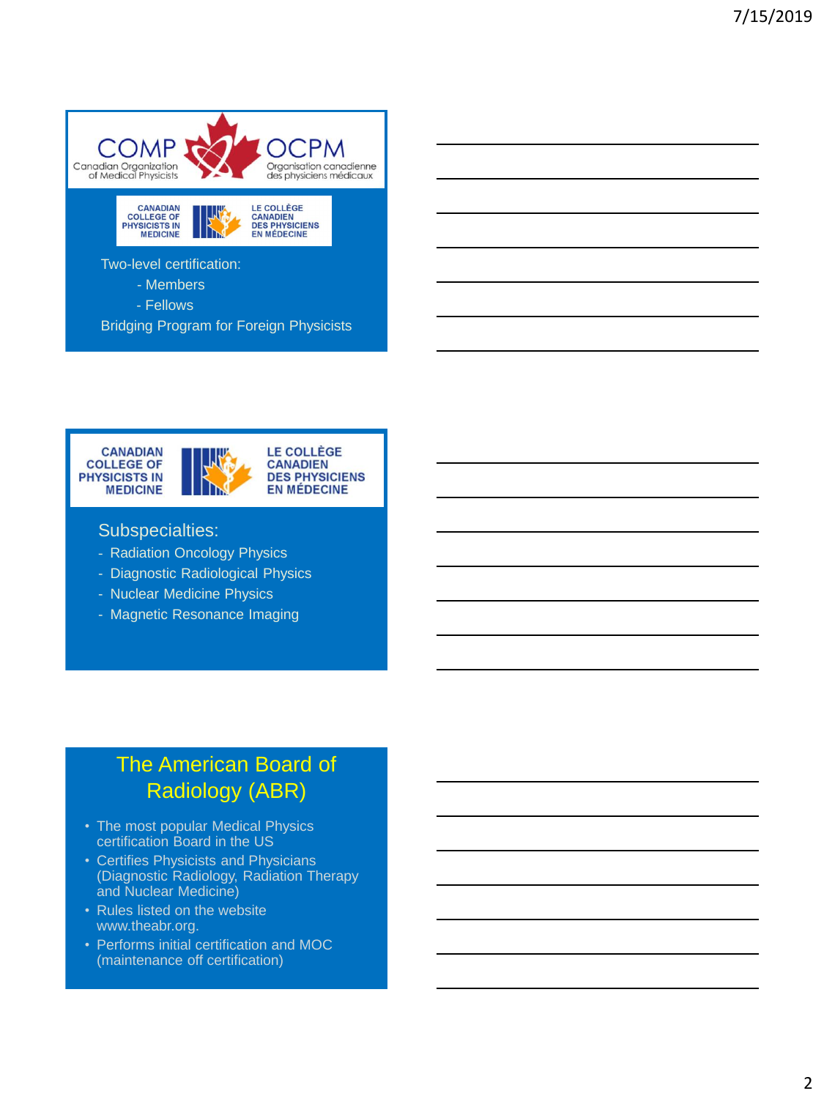





#### Subspecialties:

- Radiation Oncology Physics
- Diagnostic Radiological Physics
- Nuclear Medicine Physics
- Magnetic Resonance Imaging

# The American Board of Radiology (ABR)

- The most popular Medical Physics certification Board in the US
- Certifies Physicists and Physicians (Diagnostic Radiology, Radiation Therapy and Nuclear Medicine)
- Rules listed on the website www.theabr.org.
- Performs initial certification and MOC (maintenance off certification)